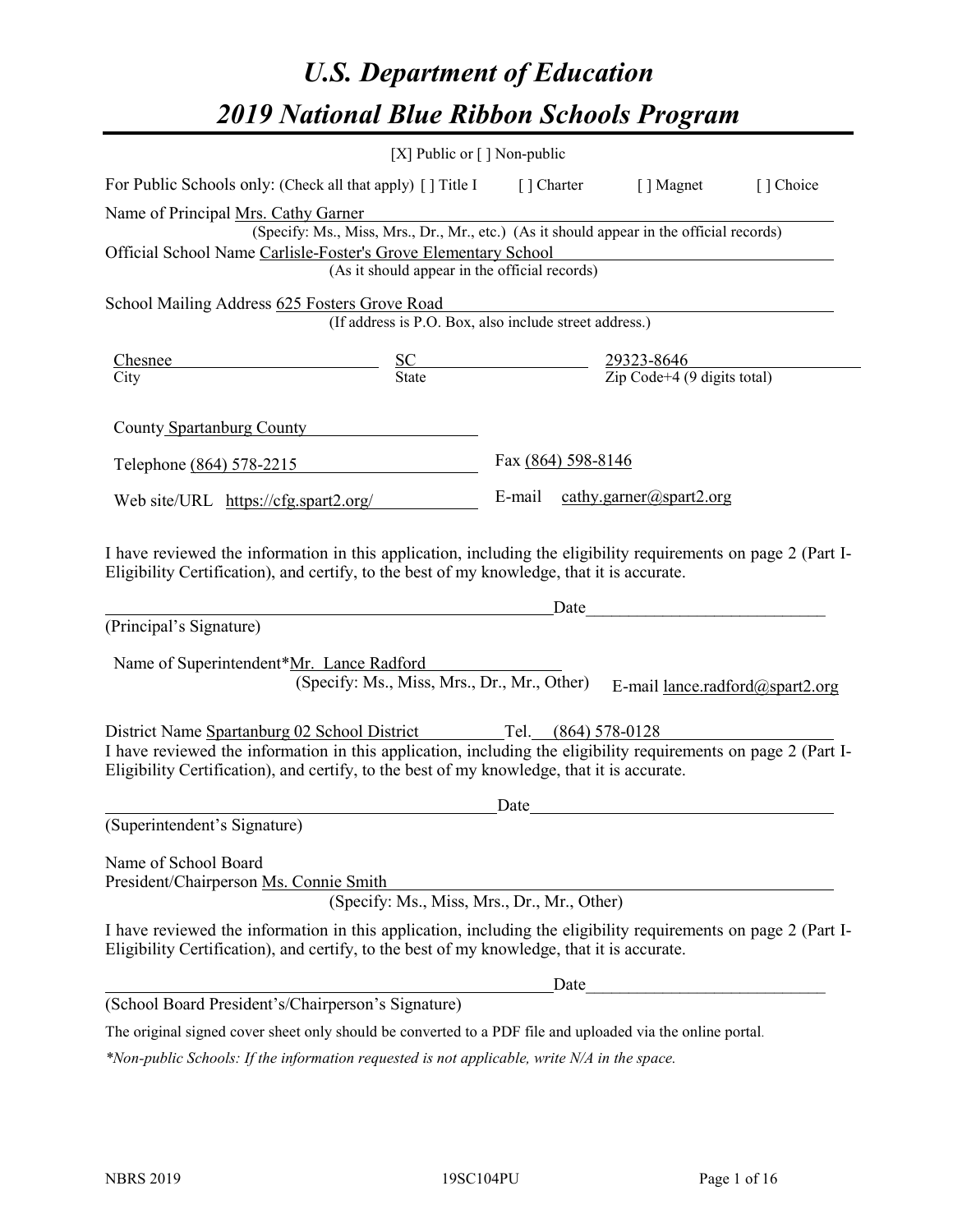# *U.S. Department of Education 2019 National Blue Ribbon Schools Program*

|                                                                                                                                                                                                              | [X] Public or [] Non-public                                                                                  |                    |                                                                                                                                                                                                                                                                  |  |
|--------------------------------------------------------------------------------------------------------------------------------------------------------------------------------------------------------------|--------------------------------------------------------------------------------------------------------------|--------------------|------------------------------------------------------------------------------------------------------------------------------------------------------------------------------------------------------------------------------------------------------------------|--|
| For Public Schools only: (Check all that apply) [ ] Title I [ ] Charter [ ] Magnet [ ] Choice                                                                                                                |                                                                                                              |                    |                                                                                                                                                                                                                                                                  |  |
| Name of Principal Mrs. Cathy Garner                                                                                                                                                                          | rs. Cathy Garner<br>(Specify: Ms., Miss, Mrs., Dr., Mr., etc.) (As it should appear in the official records) |                    |                                                                                                                                                                                                                                                                  |  |
| Official School Name Carlisle-Foster's Grove Elementary School                                                                                                                                               | (As it should appear in the official records)                                                                |                    |                                                                                                                                                                                                                                                                  |  |
| School Mailing Address 625 Fosters Grove Road                                                                                                                                                                |                                                                                                              |                    |                                                                                                                                                                                                                                                                  |  |
|                                                                                                                                                                                                              | sters Grove Road<br>(If address is P.O. Box, also include street address.)                                   |                    |                                                                                                                                                                                                                                                                  |  |
| Chesnee<br>$rac{SC}{State}$ $rac{29323-8646}{Zip Code+4 (9 digits total)}$                                                                                                                                   |                                                                                                              |                    |                                                                                                                                                                                                                                                                  |  |
| City                                                                                                                                                                                                         |                                                                                                              |                    |                                                                                                                                                                                                                                                                  |  |
| County Spartanburg County                                                                                                                                                                                    |                                                                                                              |                    |                                                                                                                                                                                                                                                                  |  |
| Telephone (864) 578-2215                                                                                                                                                                                     |                                                                                                              | Fax (864) 598-8146 |                                                                                                                                                                                                                                                                  |  |
| Web site/URL https://cfg.spart2.org/ E-mail cathy.garner@spart2.org                                                                                                                                          |                                                                                                              |                    |                                                                                                                                                                                                                                                                  |  |
| (Principal's Signature)<br>Name of Superintendent*Mr. Lance Radford                                                                                                                                          | (Specify: Ms., Miss, Mrs., Dr., Mr., Other)                                                                  |                    | Date experience and the second service of the service of the service of the service of the service of the service of the service of the service of the service of the service of the service of the service of the service of<br>E-mail lance.radford@spart2.org |  |
| District Name Spartanburg 02 School District Tel. (864) 578-0128                                                                                                                                             |                                                                                                              |                    |                                                                                                                                                                                                                                                                  |  |
| I have reviewed the information in this application, including the eligibility requirements on page 2 (Part I-<br>Eligibility Certification), and certify, to the best of my knowledge, that it is accurate. |                                                                                                              |                    |                                                                                                                                                                                                                                                                  |  |
|                                                                                                                                                                                                              |                                                                                                              | Date               | <u> 1989 - Andrea Station Barbara, amerikan per</u>                                                                                                                                                                                                              |  |
| (Superintendent's Signature)                                                                                                                                                                                 |                                                                                                              |                    |                                                                                                                                                                                                                                                                  |  |
| Name of School Board<br>President/Chairperson Ms. Connie Smith                                                                                                                                               | (Specify: Ms., Miss, Mrs., Dr., Mr., Other)                                                                  |                    |                                                                                                                                                                                                                                                                  |  |
| I have reviewed the information in this application, including the eligibility requirements on page 2 (Part I-<br>Eligibility Certification), and certify, to the best of my knowledge, that it is accurate. |                                                                                                              |                    |                                                                                                                                                                                                                                                                  |  |
|                                                                                                                                                                                                              |                                                                                                              | Date               |                                                                                                                                                                                                                                                                  |  |
| (School Board President's/Chairperson's Signature)                                                                                                                                                           |                                                                                                              |                    |                                                                                                                                                                                                                                                                  |  |
| The original signed cover sheet only should be converted to a PDF file and uploaded via the online portal.                                                                                                   |                                                                                                              |                    |                                                                                                                                                                                                                                                                  |  |

*\*Non-public Schools: If the information requested is not applicable, write N/A in the space.*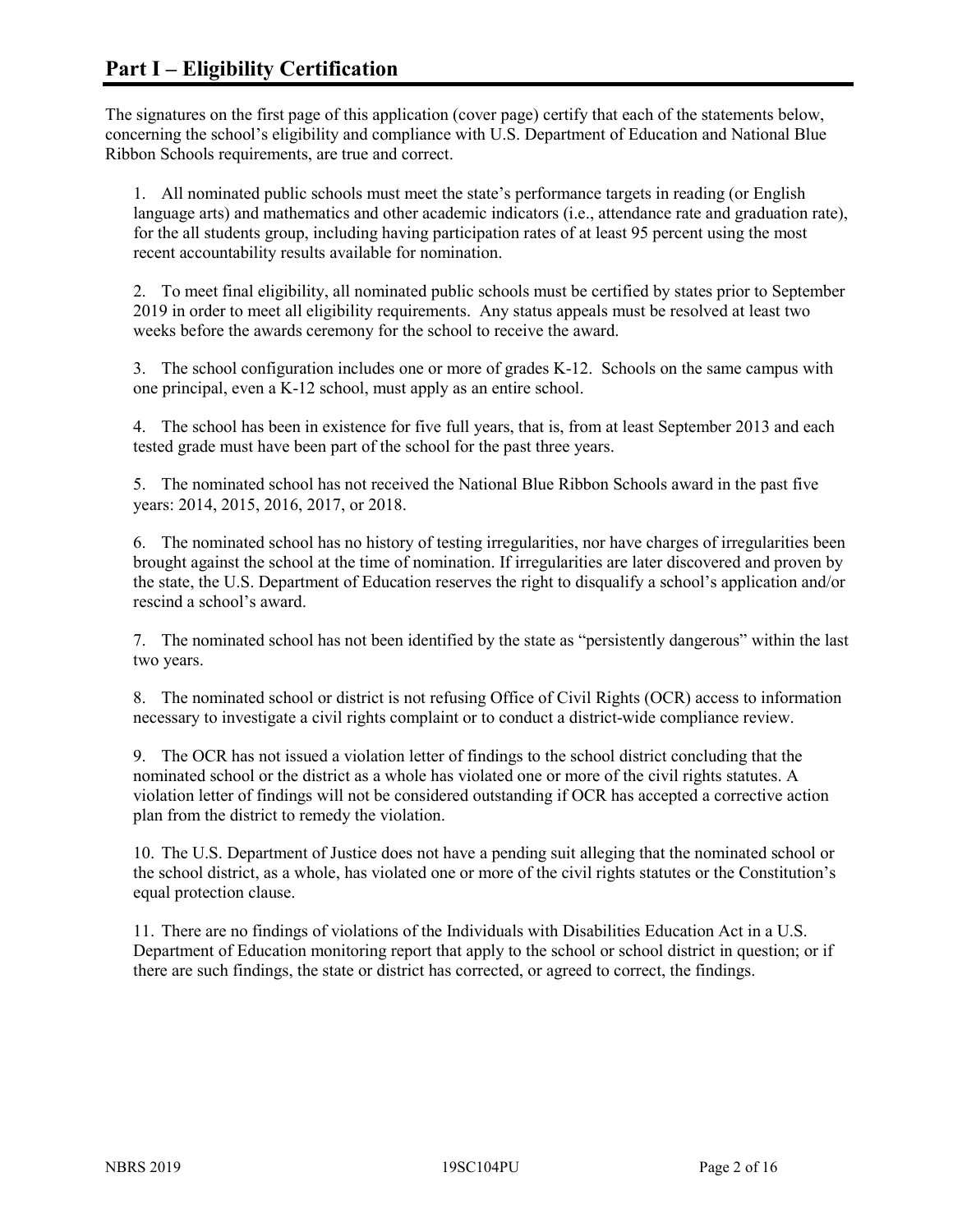The signatures on the first page of this application (cover page) certify that each of the statements below, concerning the school's eligibility and compliance with U.S. Department of Education and National Blue Ribbon Schools requirements, are true and correct.

1. All nominated public schools must meet the state's performance targets in reading (or English language arts) and mathematics and other academic indicators (i.e., attendance rate and graduation rate), for the all students group, including having participation rates of at least 95 percent using the most recent accountability results available for nomination.

2. To meet final eligibility, all nominated public schools must be certified by states prior to September 2019 in order to meet all eligibility requirements. Any status appeals must be resolved at least two weeks before the awards ceremony for the school to receive the award.

3. The school configuration includes one or more of grades K-12. Schools on the same campus with one principal, even a K-12 school, must apply as an entire school.

4. The school has been in existence for five full years, that is, from at least September 2013 and each tested grade must have been part of the school for the past three years.

5. The nominated school has not received the National Blue Ribbon Schools award in the past five years: 2014, 2015, 2016, 2017, or 2018.

6. The nominated school has no history of testing irregularities, nor have charges of irregularities been brought against the school at the time of nomination. If irregularities are later discovered and proven by the state, the U.S. Department of Education reserves the right to disqualify a school's application and/or rescind a school's award.

7. The nominated school has not been identified by the state as "persistently dangerous" within the last two years.

8. The nominated school or district is not refusing Office of Civil Rights (OCR) access to information necessary to investigate a civil rights complaint or to conduct a district-wide compliance review.

9. The OCR has not issued a violation letter of findings to the school district concluding that the nominated school or the district as a whole has violated one or more of the civil rights statutes. A violation letter of findings will not be considered outstanding if OCR has accepted a corrective action plan from the district to remedy the violation.

10. The U.S. Department of Justice does not have a pending suit alleging that the nominated school or the school district, as a whole, has violated one or more of the civil rights statutes or the Constitution's equal protection clause.

11. There are no findings of violations of the Individuals with Disabilities Education Act in a U.S. Department of Education monitoring report that apply to the school or school district in question; or if there are such findings, the state or district has corrected, or agreed to correct, the findings.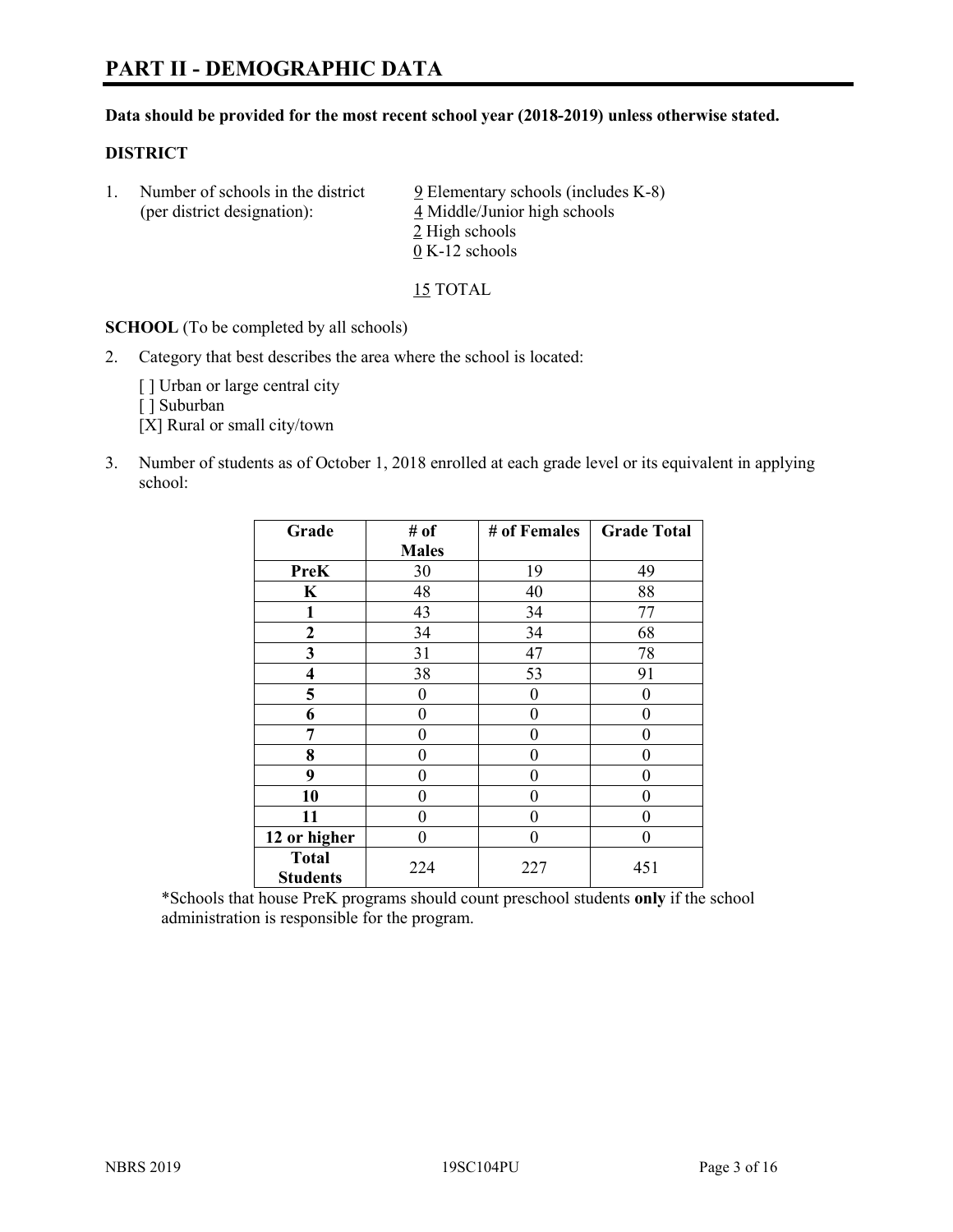#### **Data should be provided for the most recent school year (2018-2019) unless otherwise stated.**

#### **DISTRICT**

1. Number of schools in the district  $9$  Elementary schools (includes K-8) (per district designation): 4 Middle/Junior high schools 2 High schools 0 K-12 schools

15 TOTAL

**SCHOOL** (To be completed by all schools)

2. Category that best describes the area where the school is located:

[ ] Urban or large central city

[ ] Suburban

[X] Rural or small city/town

3. Number of students as of October 1, 2018 enrolled at each grade level or its equivalent in applying school:

| Grade                   | # of         | # of Females | <b>Grade Total</b> |
|-------------------------|--------------|--------------|--------------------|
|                         | <b>Males</b> |              |                    |
| <b>PreK</b>             | 30           | 19           | 49                 |
| $\mathbf K$             | 48           | 40           | 88                 |
| 1                       | 43           | 34           | 77                 |
| $\mathbf{2}$            | 34           | 34           | 68                 |
| 3                       | 31           | 47           | 78                 |
| $\overline{\mathbf{4}}$ | 38           | 53           | 91                 |
| 5                       | 0            | 0            | $\theta$           |
| 6                       | 0            | $\theta$     | 0                  |
| 7                       | 0            | $\theta$     | 0                  |
| 8                       | 0            | $\theta$     | 0                  |
| 9                       | 0            | $\theta$     | 0                  |
| 10                      | 0            | $\theta$     | 0                  |
| 11                      | 0            | 0            | 0                  |
| 12 or higher            | 0            | $\theta$     | 0                  |
| <b>Total</b>            | 224          | 227          | 451                |
| <b>Students</b>         |              |              |                    |

\*Schools that house PreK programs should count preschool students **only** if the school administration is responsible for the program.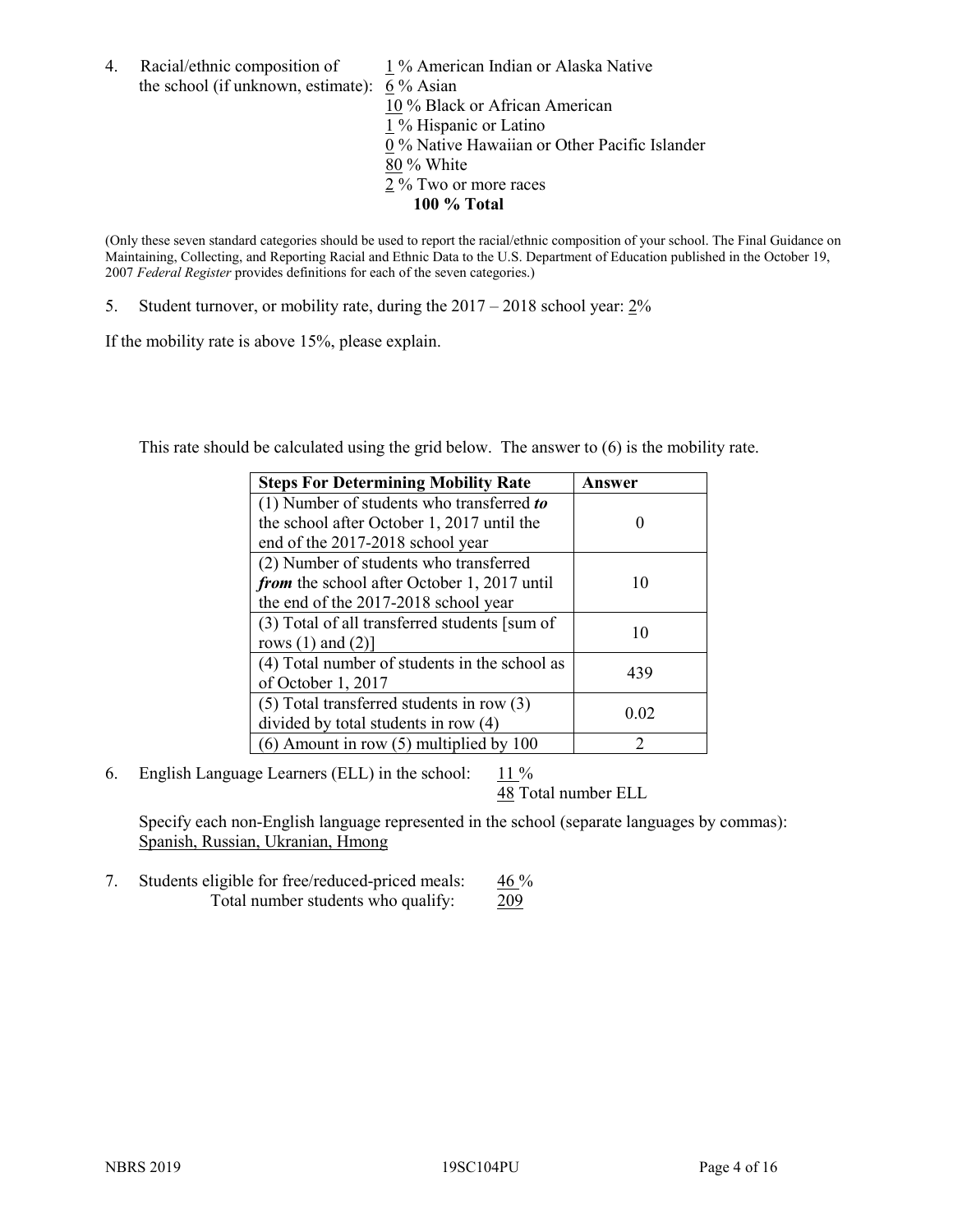4. Racial/ethnic composition of  $1\%$  American Indian or Alaska Native the school (if unknown, estimate): 6 % Asian 10 % Black or African American 1 % Hispanic or Latino 0 % Native Hawaiian or Other Pacific Islander 80 % White 2 % Two or more races **100 % Total**

(Only these seven standard categories should be used to report the racial/ethnic composition of your school. The Final Guidance on Maintaining, Collecting, and Reporting Racial and Ethnic Data to the U.S. Department of Education published in the October 19, 2007 *Federal Register* provides definitions for each of the seven categories.)

5. Student turnover, or mobility rate, during the 2017 – 2018 school year: 2%

If the mobility rate is above 15%, please explain.

This rate should be calculated using the grid below. The answer to (6) is the mobility rate.

| <b>Steps For Determining Mobility Rate</b>    | Answer |
|-----------------------------------------------|--------|
| (1) Number of students who transferred to     |        |
| the school after October 1, 2017 until the    |        |
| end of the 2017-2018 school year              |        |
| (2) Number of students who transferred        |        |
| from the school after October 1, 2017 until   | 10     |
| the end of the 2017-2018 school year          |        |
| (3) Total of all transferred students [sum of |        |
| rows $(1)$ and $(2)$ ]                        | 10     |
| (4) Total number of students in the school as |        |
| of October 1, 2017                            | 439    |
| $(5)$ Total transferred students in row $(3)$ |        |
| divided by total students in row (4)          | 0.02   |
| $(6)$ Amount in row $(5)$ multiplied by 100   | 2      |

6. English Language Learners (ELL) in the school:  $11\%$ 

48 Total number ELL

Specify each non-English language represented in the school (separate languages by commas): Spanish, Russian, Ukranian, Hmong

7. Students eligible for free/reduced-priced meals: 46 % Total number students who qualify: 209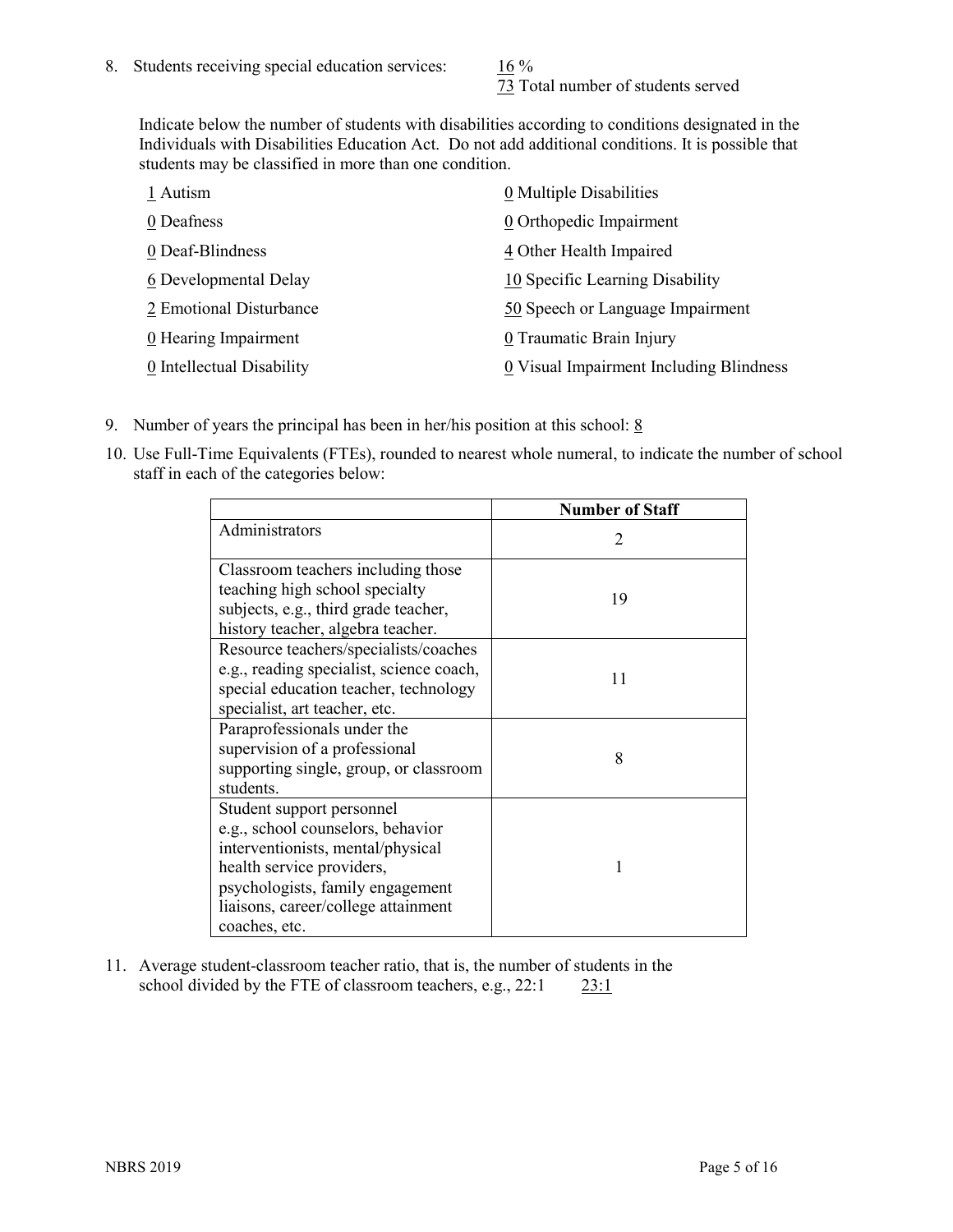73 Total number of students served

Indicate below the number of students with disabilities according to conditions designated in the Individuals with Disabilities Education Act. Do not add additional conditions. It is possible that students may be classified in more than one condition.

| 1 Autism                  | 0 Multiple Disabilities                 |
|---------------------------|-----------------------------------------|
| 0 Deafness                | 0 Orthopedic Impairment                 |
| 0 Deaf-Blindness          | 4 Other Health Impaired                 |
| 6 Developmental Delay     | 10 Specific Learning Disability         |
| 2 Emotional Disturbance   | 50 Speech or Language Impairment        |
| 0 Hearing Impairment      | 0 Traumatic Brain Injury                |
| 0 Intellectual Disability | 0 Visual Impairment Including Blindness |

- 9. Number of years the principal has been in her/his position at this school:  $8$
- 10. Use Full-Time Equivalents (FTEs), rounded to nearest whole numeral, to indicate the number of school staff in each of the categories below:

|                                                                                                                                                                                                                              | <b>Number of Staff</b>      |
|------------------------------------------------------------------------------------------------------------------------------------------------------------------------------------------------------------------------------|-----------------------------|
| Administrators                                                                                                                                                                                                               | $\mathcal{D}_{\mathcal{A}}$ |
| Classroom teachers including those<br>teaching high school specialty<br>subjects, e.g., third grade teacher,<br>history teacher, algebra teacher.                                                                            | 19                          |
| Resource teachers/specialists/coaches<br>e.g., reading specialist, science coach,<br>special education teacher, technology<br>specialist, art teacher, etc.                                                                  | 11                          |
| Paraprofessionals under the<br>supervision of a professional<br>supporting single, group, or classroom<br>students.                                                                                                          | 8                           |
| Student support personnel<br>e.g., school counselors, behavior<br>interventionists, mental/physical<br>health service providers,<br>psychologists, family engagement<br>liaisons, career/college attainment<br>coaches, etc. |                             |

11. Average student-classroom teacher ratio, that is, the number of students in the school divided by the FTE of classroom teachers, e.g., 22:1 23:1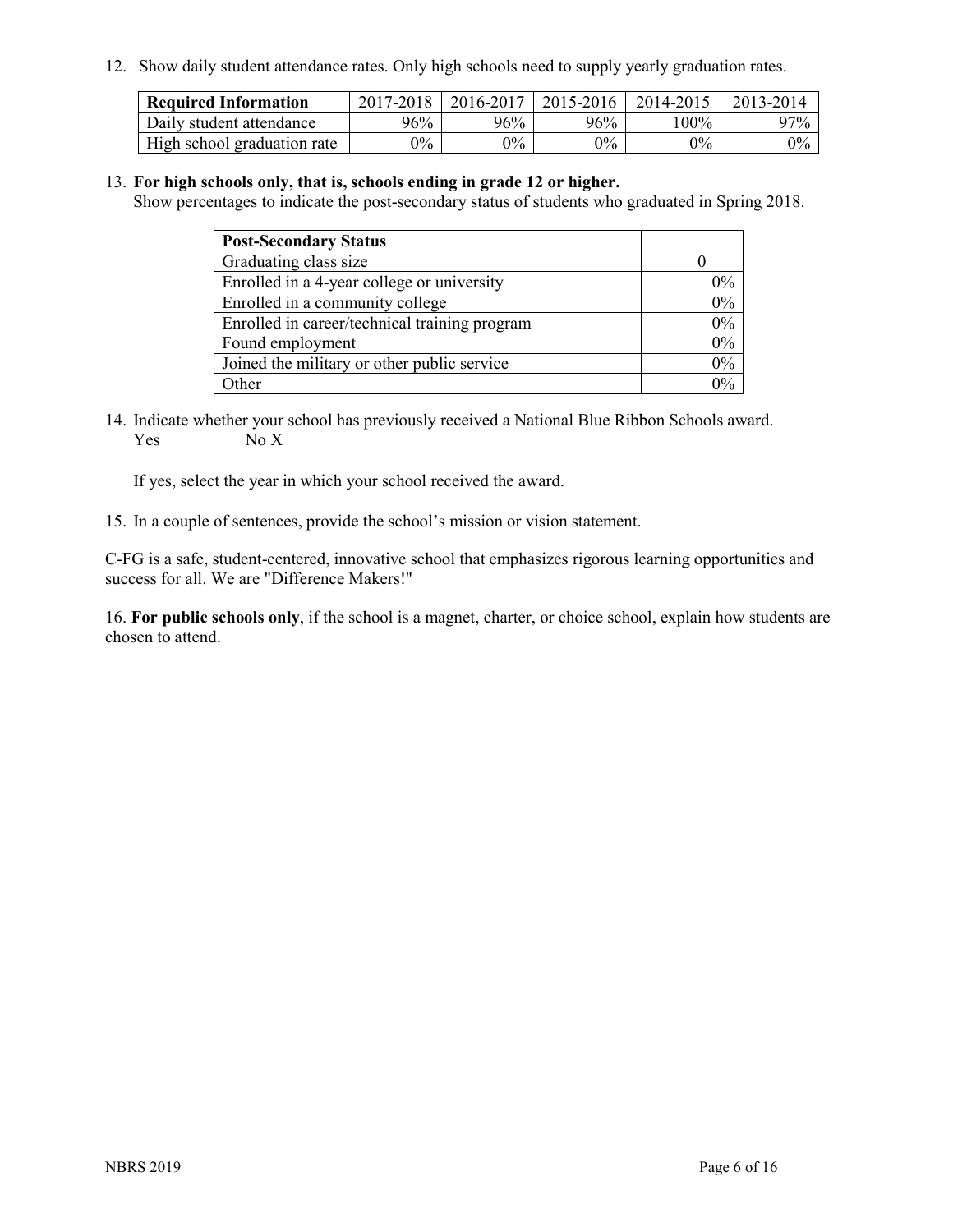12. Show daily student attendance rates. Only high schools need to supply yearly graduation rates.

| <b>Required Information</b> | 2017-2018 | 2016-2017 | $2015 - 2016$ | 2014-2015 | 2013-2014 |
|-----------------------------|-----------|-----------|---------------|-----------|-----------|
| Daily student attendance    | 96%       | 96%       | 96%           | 100%      | $97\%$    |
| High school graduation rate | $0\%$     | $0\%$     | $0\%$         | $9\%$     | $0\%$     |

#### 13. **For high schools only, that is, schools ending in grade 12 or higher.**

Show percentages to indicate the post-secondary status of students who graduated in Spring 2018.

| <b>Post-Secondary Status</b>                  |       |
|-----------------------------------------------|-------|
| Graduating class size                         |       |
| Enrolled in a 4-year college or university    | $0\%$ |
| Enrolled in a community college               | 0%    |
| Enrolled in career/technical training program | 0%    |
| Found employment                              | 0%    |
| Joined the military or other public service   | 0%    |
| Other                                         | በ‰    |

14. Indicate whether your school has previously received a National Blue Ribbon Schools award. Yes No X

If yes, select the year in which your school received the award.

15. In a couple of sentences, provide the school's mission or vision statement.

C-FG is a safe, student-centered, innovative school that emphasizes rigorous learning opportunities and success for all. We are "Difference Makers!"

16. **For public schools only**, if the school is a magnet, charter, or choice school, explain how students are chosen to attend.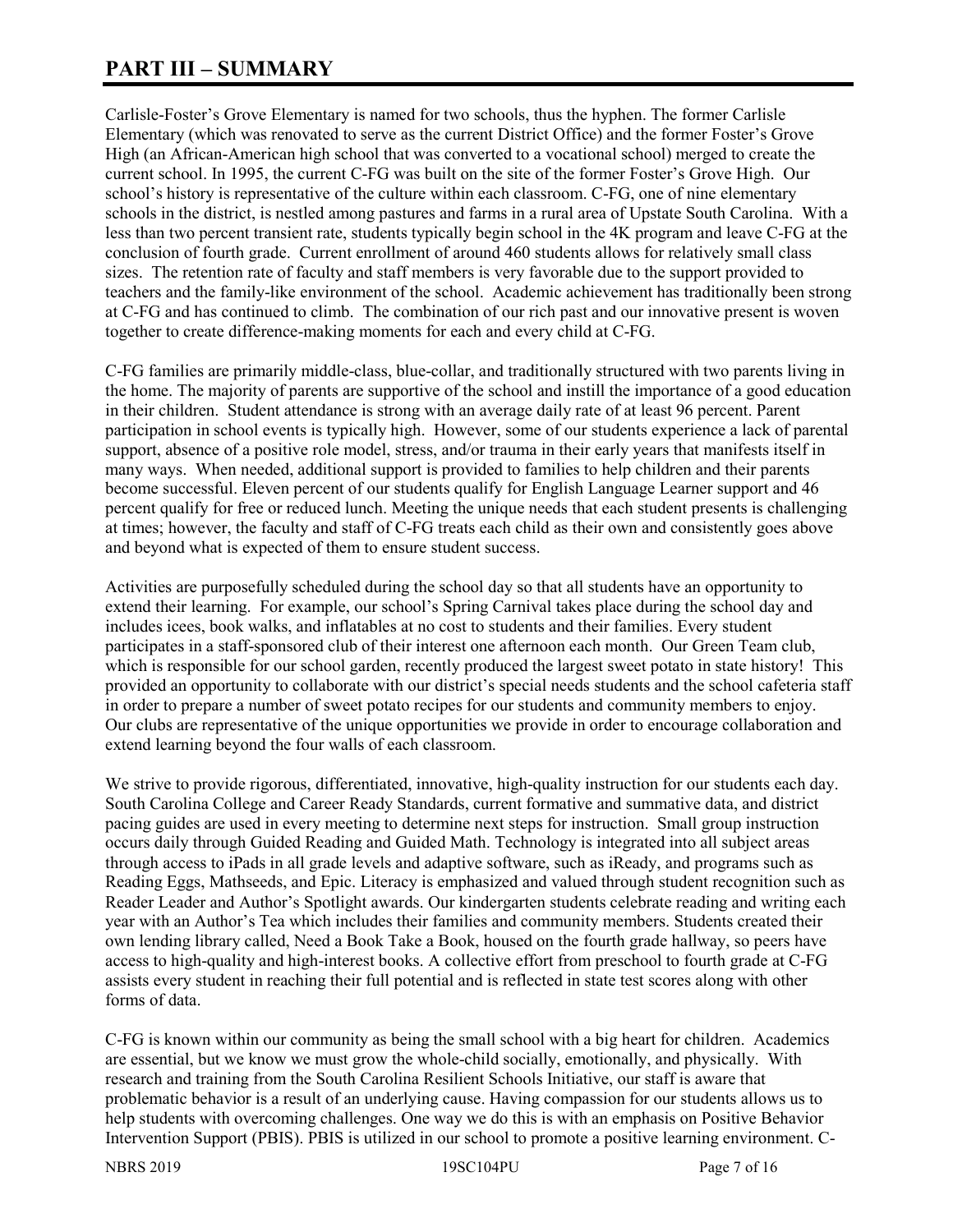# **PART III – SUMMARY**

Carlisle-Foster's Grove Elementary is named for two schools, thus the hyphen. The former Carlisle Elementary (which was renovated to serve as the current District Office) and the former Foster's Grove High (an African-American high school that was converted to a vocational school) merged to create the current school. In 1995, the current C-FG was built on the site of the former Foster's Grove High. Our school's history is representative of the culture within each classroom. C-FG, one of nine elementary schools in the district, is nestled among pastures and farms in a rural area of Upstate South Carolina. With a less than two percent transient rate, students typically begin school in the 4K program and leave C-FG at the conclusion of fourth grade. Current enrollment of around 460 students allows for relatively small class sizes. The retention rate of faculty and staff members is very favorable due to the support provided to teachers and the family-like environment of the school. Academic achievement has traditionally been strong at C-FG and has continued to climb. The combination of our rich past and our innovative present is woven together to create difference-making moments for each and every child at C-FG.

C-FG families are primarily middle-class, blue-collar, and traditionally structured with two parents living in the home. The majority of parents are supportive of the school and instill the importance of a good education in their children. Student attendance is strong with an average daily rate of at least 96 percent. Parent participation in school events is typically high. However, some of our students experience a lack of parental support, absence of a positive role model, stress, and/or trauma in their early years that manifests itself in many ways. When needed, additional support is provided to families to help children and their parents become successful. Eleven percent of our students qualify for English Language Learner support and 46 percent qualify for free or reduced lunch. Meeting the unique needs that each student presents is challenging at times; however, the faculty and staff of C-FG treats each child as their own and consistently goes above and beyond what is expected of them to ensure student success.

Activities are purposefully scheduled during the school day so that all students have an opportunity to extend their learning. For example, our school's Spring Carnival takes place during the school day and includes icees, book walks, and inflatables at no cost to students and their families. Every student participates in a staff-sponsored club of their interest one afternoon each month. Our Green Team club, which is responsible for our school garden, recently produced the largest sweet potato in state history! This provided an opportunity to collaborate with our district's special needs students and the school cafeteria staff in order to prepare a number of sweet potato recipes for our students and community members to enjoy. Our clubs are representative of the unique opportunities we provide in order to encourage collaboration and extend learning beyond the four walls of each classroom.

We strive to provide rigorous, differentiated, innovative, high-quality instruction for our students each day. South Carolina College and Career Ready Standards, current formative and summative data, and district pacing guides are used in every meeting to determine next steps for instruction. Small group instruction occurs daily through Guided Reading and Guided Math. Technology is integrated into all subject areas through access to iPads in all grade levels and adaptive software, such as iReady, and programs such as Reading Eggs, Mathseeds, and Epic. Literacy is emphasized and valued through student recognition such as Reader Leader and Author's Spotlight awards. Our kindergarten students celebrate reading and writing each year with an Author's Tea which includes their families and community members. Students created their own lending library called, Need a Book Take a Book, housed on the fourth grade hallway, so peers have access to high-quality and high-interest books. A collective effort from preschool to fourth grade at C-FG assists every student in reaching their full potential and is reflected in state test scores along with other forms of data.

C-FG is known within our community as being the small school with a big heart for children. Academics are essential, but we know we must grow the whole-child socially, emotionally, and physically. With research and training from the South Carolina Resilient Schools Initiative, our staff is aware that problematic behavior is a result of an underlying cause. Having compassion for our students allows us to help students with overcoming challenges. One way we do this is with an emphasis on Positive Behavior Intervention Support (PBIS). PBIS is utilized in our school to promote a positive learning environment. C-

NBRS 2019 19SC104PU Page 7 of 16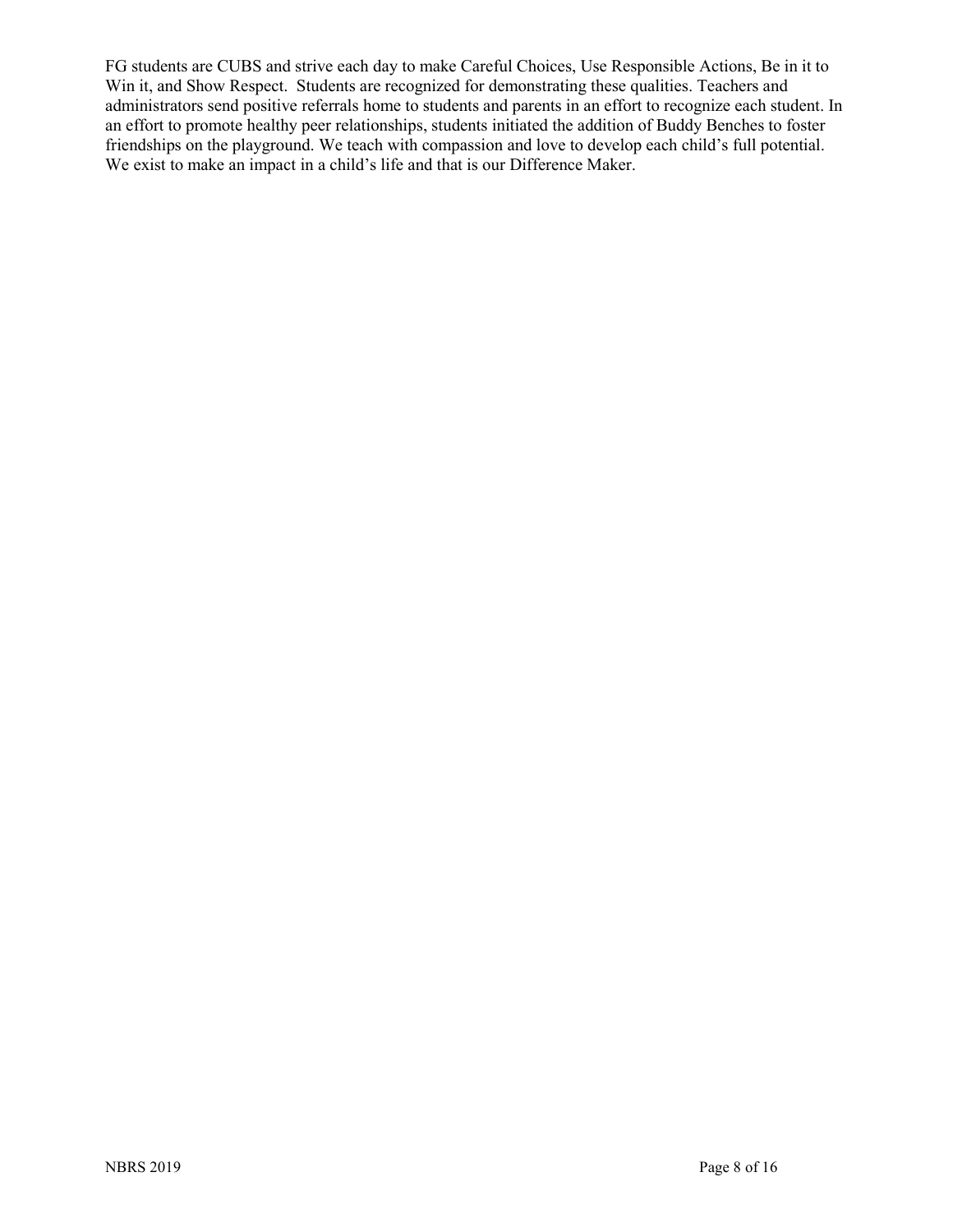FG students are CUBS and strive each day to make Careful Choices, Use Responsible Actions, Be in it to Win it, and Show Respect. Students are recognized for demonstrating these qualities. Teachers and administrators send positive referrals home to students and parents in an effort to recognize each student. In an effort to promote healthy peer relationships, students initiated the addition of Buddy Benches to foster friendships on the playground. We teach with compassion and love to develop each child's full potential. We exist to make an impact in a child's life and that is our Difference Maker.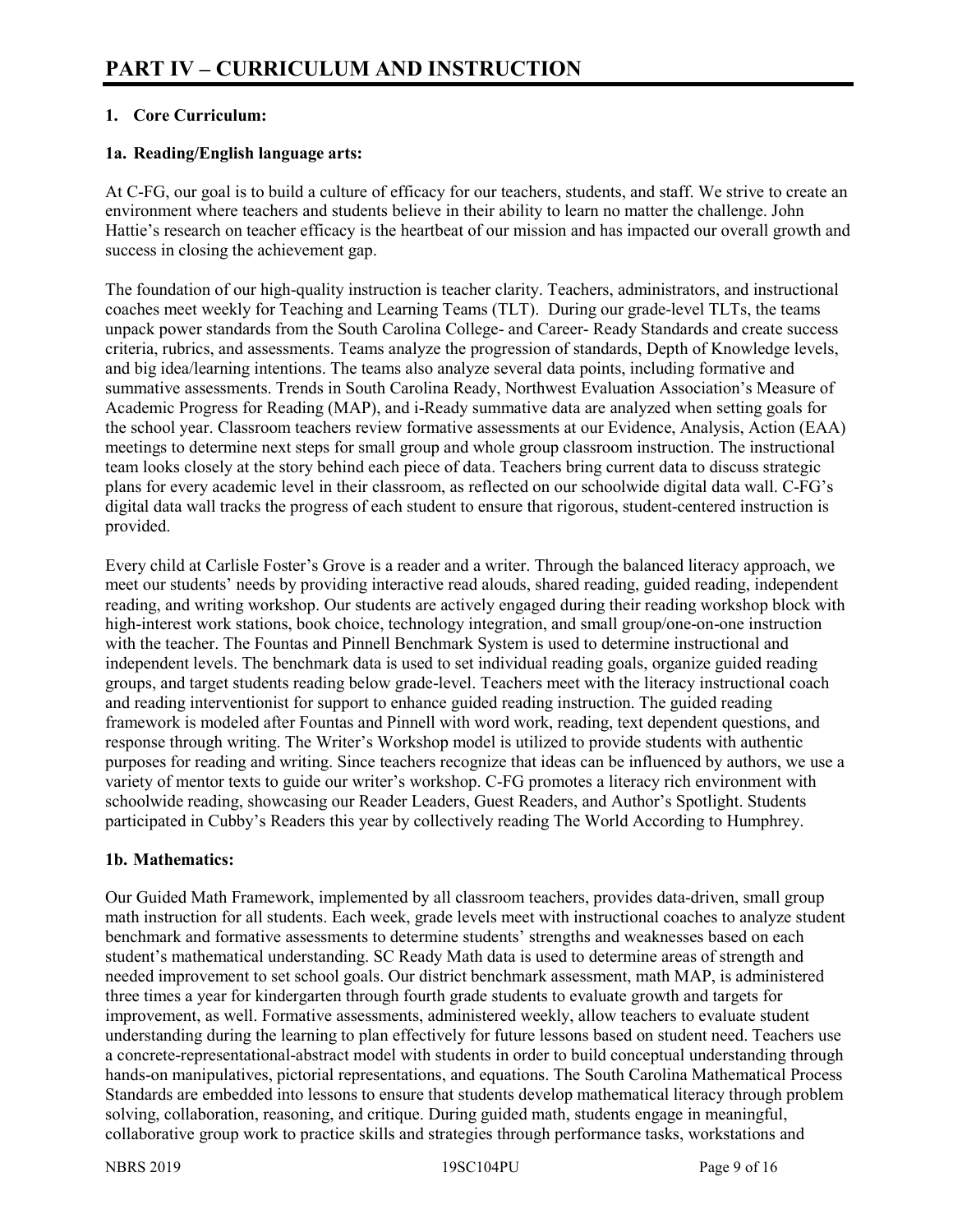# **1. Core Curriculum:**

# **1a. Reading/English language arts:**

At C-FG, our goal is to build a culture of efficacy for our teachers, students, and staff. We strive to create an environment where teachers and students believe in their ability to learn no matter the challenge. John Hattie's research on teacher efficacy is the heartbeat of our mission and has impacted our overall growth and success in closing the achievement gap.

The foundation of our high-quality instruction is teacher clarity. Teachers, administrators, and instructional coaches meet weekly for Teaching and Learning Teams (TLT). During our grade-level TLTs, the teams unpack power standards from the South Carolina College- and Career- Ready Standards and create success criteria, rubrics, and assessments. Teams analyze the progression of standards, Depth of Knowledge levels, and big idea/learning intentions. The teams also analyze several data points, including formative and summative assessments. Trends in South Carolina Ready, Northwest Evaluation Association's Measure of Academic Progress for Reading (MAP), and i-Ready summative data are analyzed when setting goals for the school year. Classroom teachers review formative assessments at our Evidence, Analysis, Action (EAA) meetings to determine next steps for small group and whole group classroom instruction. The instructional team looks closely at the story behind each piece of data. Teachers bring current data to discuss strategic plans for every academic level in their classroom, as reflected on our schoolwide digital data wall. C-FG's digital data wall tracks the progress of each student to ensure that rigorous, student-centered instruction is provided.

Every child at Carlisle Foster's Grove is a reader and a writer. Through the balanced literacy approach, we meet our students' needs by providing interactive read alouds, shared reading, guided reading, independent reading, and writing workshop. Our students are actively engaged during their reading workshop block with high-interest work stations, book choice, technology integration, and small group/one-on-one instruction with the teacher. The Fountas and Pinnell Benchmark System is used to determine instructional and independent levels. The benchmark data is used to set individual reading goals, organize guided reading groups, and target students reading below grade-level. Teachers meet with the literacy instructional coach and reading interventionist for support to enhance guided reading instruction. The guided reading framework is modeled after Fountas and Pinnell with word work, reading, text dependent questions, and response through writing. The Writer's Workshop model is utilized to provide students with authentic purposes for reading and writing. Since teachers recognize that ideas can be influenced by authors, we use a variety of mentor texts to guide our writer's workshop. C-FG promotes a literacy rich environment with schoolwide reading, showcasing our Reader Leaders, Guest Readers, and Author's Spotlight. Students participated in Cubby's Readers this year by collectively reading The World According to Humphrey.

# **1b. Mathematics:**

Our Guided Math Framework, implemented by all classroom teachers, provides data-driven, small group math instruction for all students. Each week, grade levels meet with instructional coaches to analyze student benchmark and formative assessments to determine students' strengths and weaknesses based on each student's mathematical understanding. SC Ready Math data is used to determine areas of strength and needed improvement to set school goals. Our district benchmark assessment, math MAP, is administered three times a year for kindergarten through fourth grade students to evaluate growth and targets for improvement, as well. Formative assessments, administered weekly, allow teachers to evaluate student understanding during the learning to plan effectively for future lessons based on student need. Teachers use a concrete-representational-abstract model with students in order to build conceptual understanding through hands-on manipulatives, pictorial representations, and equations. The South Carolina Mathematical Process Standards are embedded into lessons to ensure that students develop mathematical literacy through problem solving, collaboration, reasoning, and critique. During guided math, students engage in meaningful, collaborative group work to practice skills and strategies through performance tasks, workstations and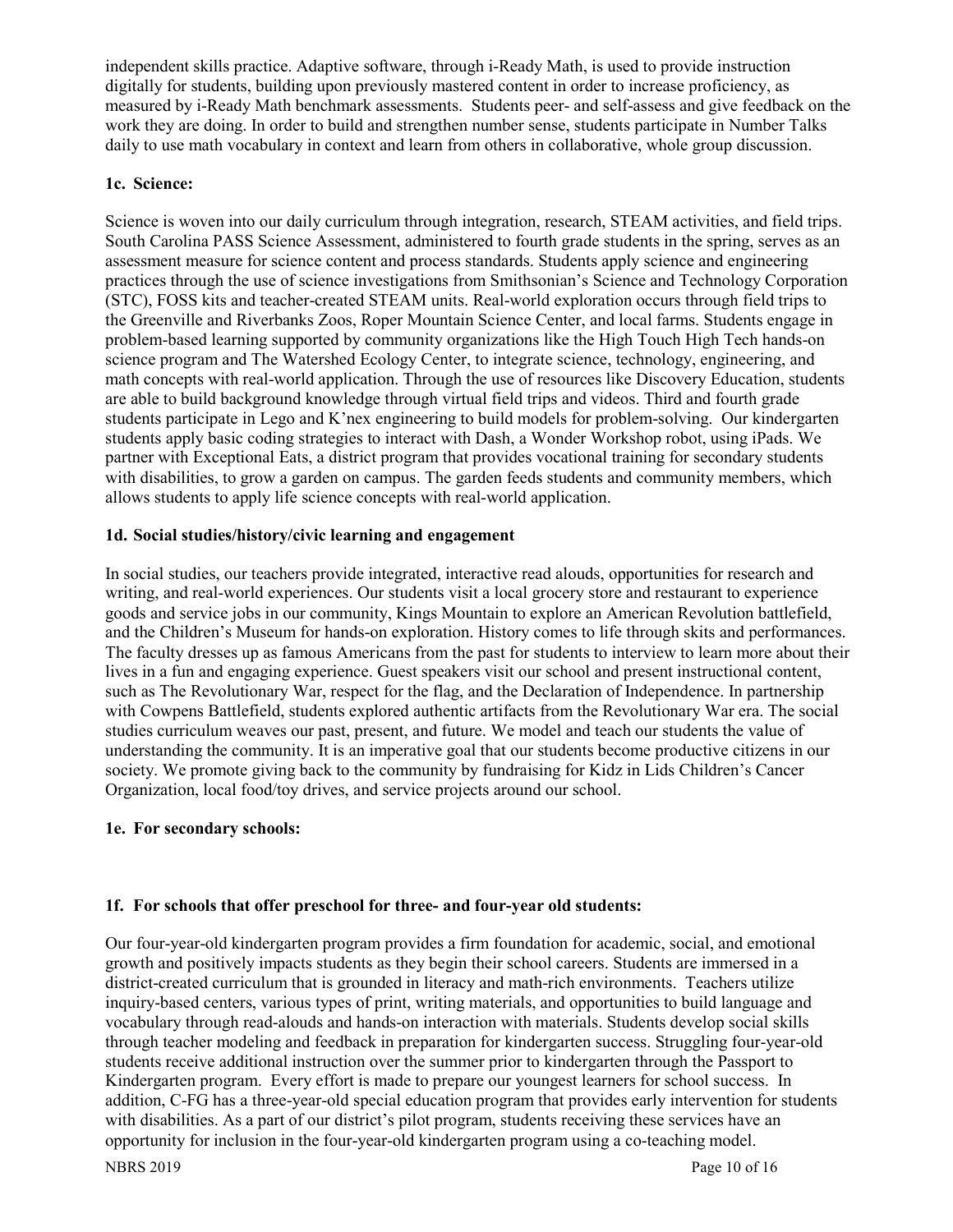independent skills practice. Adaptive software, through i-Ready Math, is used to provide instruction digitally for students, building upon previously mastered content in order to increase proficiency, as measured by i-Ready Math benchmark assessments. Students peer- and self-assess and give feedback on the work they are doing. In order to build and strengthen number sense, students participate in Number Talks daily to use math vocabulary in context and learn from others in collaborative, whole group discussion.

# **1c. Science:**

Science is woven into our daily curriculum through integration, research, STEAM activities, and field trips. South Carolina PASS Science Assessment, administered to fourth grade students in the spring, serves as an assessment measure for science content and process standards. Students apply science and engineering practices through the use of science investigations from Smithsonian's Science and Technology Corporation (STC), FOSS kits and teacher-created STEAM units. Real-world exploration occurs through field trips to the Greenville and Riverbanks Zoos, Roper Mountain Science Center, and local farms. Students engage in problem-based learning supported by community organizations like the High Touch High Tech hands-on science program and The Watershed Ecology Center, to integrate science, technology, engineering, and math concepts with real-world application. Through the use of resources like Discovery Education, students are able to build background knowledge through virtual field trips and videos. Third and fourth grade students participate in Lego and K'nex engineering to build models for problem-solving. Our kindergarten students apply basic coding strategies to interact with Dash, a Wonder Workshop robot, using iPads. We partner with Exceptional Eats, a district program that provides vocational training for secondary students with disabilities, to grow a garden on campus. The garden feeds students and community members, which allows students to apply life science concepts with real-world application.

# **1d. Social studies/history/civic learning and engagement**

In social studies, our teachers provide integrated, interactive read alouds, opportunities for research and writing, and real-world experiences. Our students visit a local grocery store and restaurant to experience goods and service jobs in our community, Kings Mountain to explore an American Revolution battlefield, and the Children's Museum for hands-on exploration. History comes to life through skits and performances. The faculty dresses up as famous Americans from the past for students to interview to learn more about their lives in a fun and engaging experience. Guest speakers visit our school and present instructional content, such as The Revolutionary War, respect for the flag, and the Declaration of Independence. In partnership with Cowpens Battlefield, students explored authentic artifacts from the Revolutionary War era. The social studies curriculum weaves our past, present, and future. We model and teach our students the value of understanding the community. It is an imperative goal that our students become productive citizens in our society. We promote giving back to the community by fundraising for Kidz in Lids Children's Cancer Organization, local food/toy drives, and service projects around our school.

#### **1e. For secondary schools:**

# **1f. For schools that offer preschool for three- and four-year old students:**

Our four-year-old kindergarten program provides a firm foundation for academic, social, and emotional growth and positively impacts students as they begin their school careers. Students are immersed in a district-created curriculum that is grounded in literacy and math-rich environments. Teachers utilize inquiry-based centers, various types of print, writing materials, and opportunities to build language and vocabulary through read-alouds and hands-on interaction with materials. Students develop social skills through teacher modeling and feedback in preparation for kindergarten success. Struggling four-year-old students receive additional instruction over the summer prior to kindergarten through the Passport to Kindergarten program. Every effort is made to prepare our youngest learners for school success. In addition, C-FG has a three-year-old special education program that provides early intervention for students with disabilities. As a part of our district's pilot program, students receiving these services have an opportunity for inclusion in the four-year-old kindergarten program using a co-teaching model.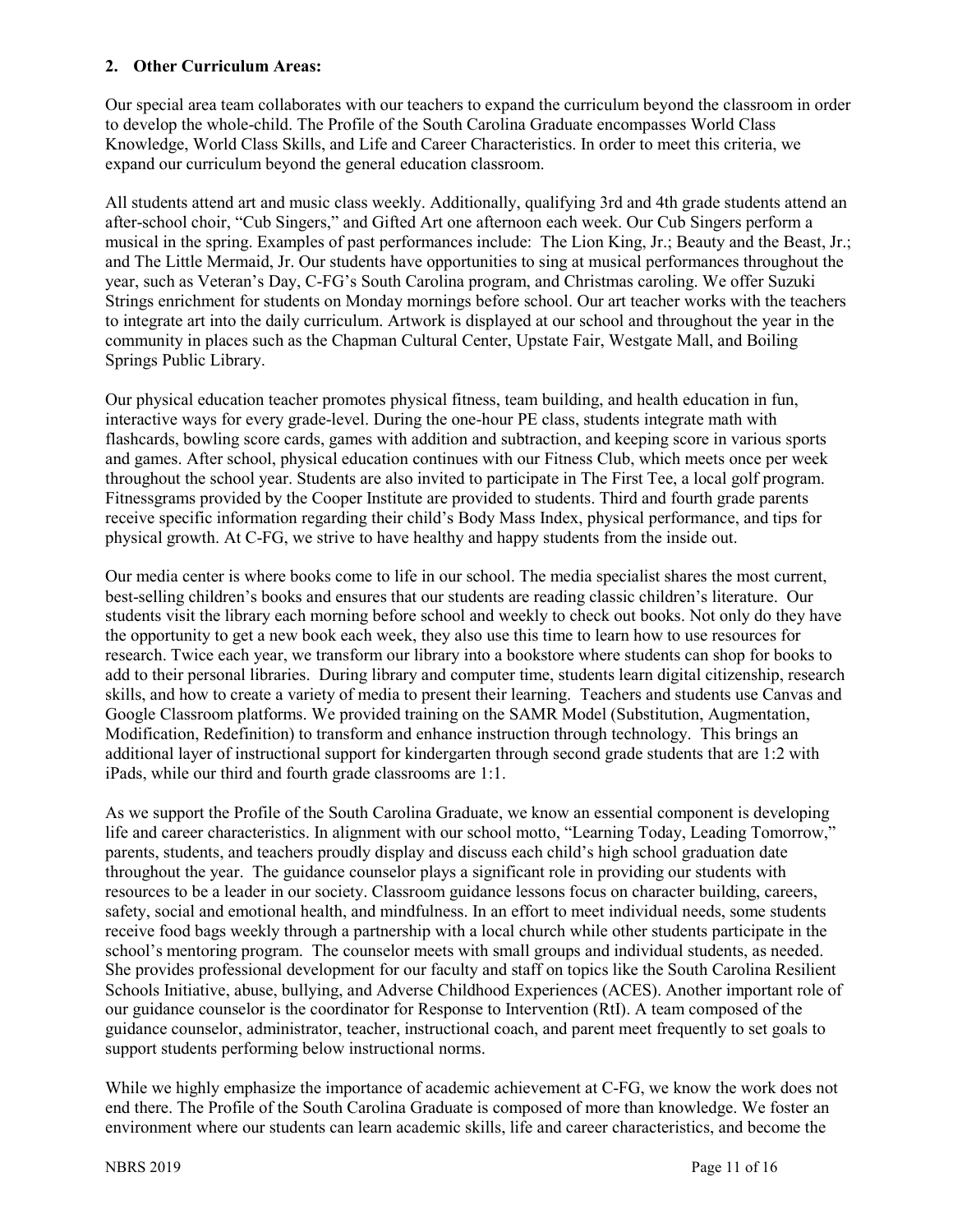#### **2. Other Curriculum Areas:**

Our special area team collaborates with our teachers to expand the curriculum beyond the classroom in order to develop the whole-child. The Profile of the South Carolina Graduate encompasses World Class Knowledge, World Class Skills, and Life and Career Characteristics. In order to meet this criteria, we expand our curriculum beyond the general education classroom.

All students attend art and music class weekly. Additionally, qualifying 3rd and 4th grade students attend an after-school choir, "Cub Singers," and Gifted Art one afternoon each week. Our Cub Singers perform a musical in the spring. Examples of past performances include: The Lion King, Jr.; Beauty and the Beast, Jr.; and The Little Mermaid, Jr. Our students have opportunities to sing at musical performances throughout the year, such as Veteran's Day, C-FG's South Carolina program, and Christmas caroling. We offer Suzuki Strings enrichment for students on Monday mornings before school. Our art teacher works with the teachers to integrate art into the daily curriculum. Artwork is displayed at our school and throughout the year in the community in places such as the Chapman Cultural Center, Upstate Fair, Westgate Mall, and Boiling Springs Public Library.

Our physical education teacher promotes physical fitness, team building, and health education in fun, interactive ways for every grade-level. During the one-hour PE class, students integrate math with flashcards, bowling score cards, games with addition and subtraction, and keeping score in various sports and games. After school, physical education continues with our Fitness Club, which meets once per week throughout the school year. Students are also invited to participate in The First Tee, a local golf program. Fitnessgrams provided by the Cooper Institute are provided to students. Third and fourth grade parents receive specific information regarding their child's Body Mass Index, physical performance, and tips for physical growth. At C-FG, we strive to have healthy and happy students from the inside out.

Our media center is where books come to life in our school. The media specialist shares the most current, best-selling children's books and ensures that our students are reading classic children's literature. Our students visit the library each morning before school and weekly to check out books. Not only do they have the opportunity to get a new book each week, they also use this time to learn how to use resources for research. Twice each year, we transform our library into a bookstore where students can shop for books to add to their personal libraries. During library and computer time, students learn digital citizenship, research skills, and how to create a variety of media to present their learning. Teachers and students use Canvas and Google Classroom platforms. We provided training on the SAMR Model (Substitution, Augmentation, Modification, Redefinition) to transform and enhance instruction through technology. This brings an additional layer of instructional support for kindergarten through second grade students that are 1:2 with iPads, while our third and fourth grade classrooms are 1:1.

As we support the Profile of the South Carolina Graduate, we know an essential component is developing life and career characteristics. In alignment with our school motto, "Learning Today, Leading Tomorrow," parents, students, and teachers proudly display and discuss each child's high school graduation date throughout the year. The guidance counselor plays a significant role in providing our students with resources to be a leader in our society. Classroom guidance lessons focus on character building, careers, safety, social and emotional health, and mindfulness. In an effort to meet individual needs, some students receive food bags weekly through a partnership with a local church while other students participate in the school's mentoring program. The counselor meets with small groups and individual students, as needed. She provides professional development for our faculty and staff on topics like the South Carolina Resilient Schools Initiative, abuse, bullying, and Adverse Childhood Experiences (ACES). Another important role of our guidance counselor is the coordinator for Response to Intervention (RtI). A team composed of the guidance counselor, administrator, teacher, instructional coach, and parent meet frequently to set goals to support students performing below instructional norms.

While we highly emphasize the importance of academic achievement at C-FG, we know the work does not end there. The Profile of the South Carolina Graduate is composed of more than knowledge. We foster an environment where our students can learn academic skills, life and career characteristics, and become the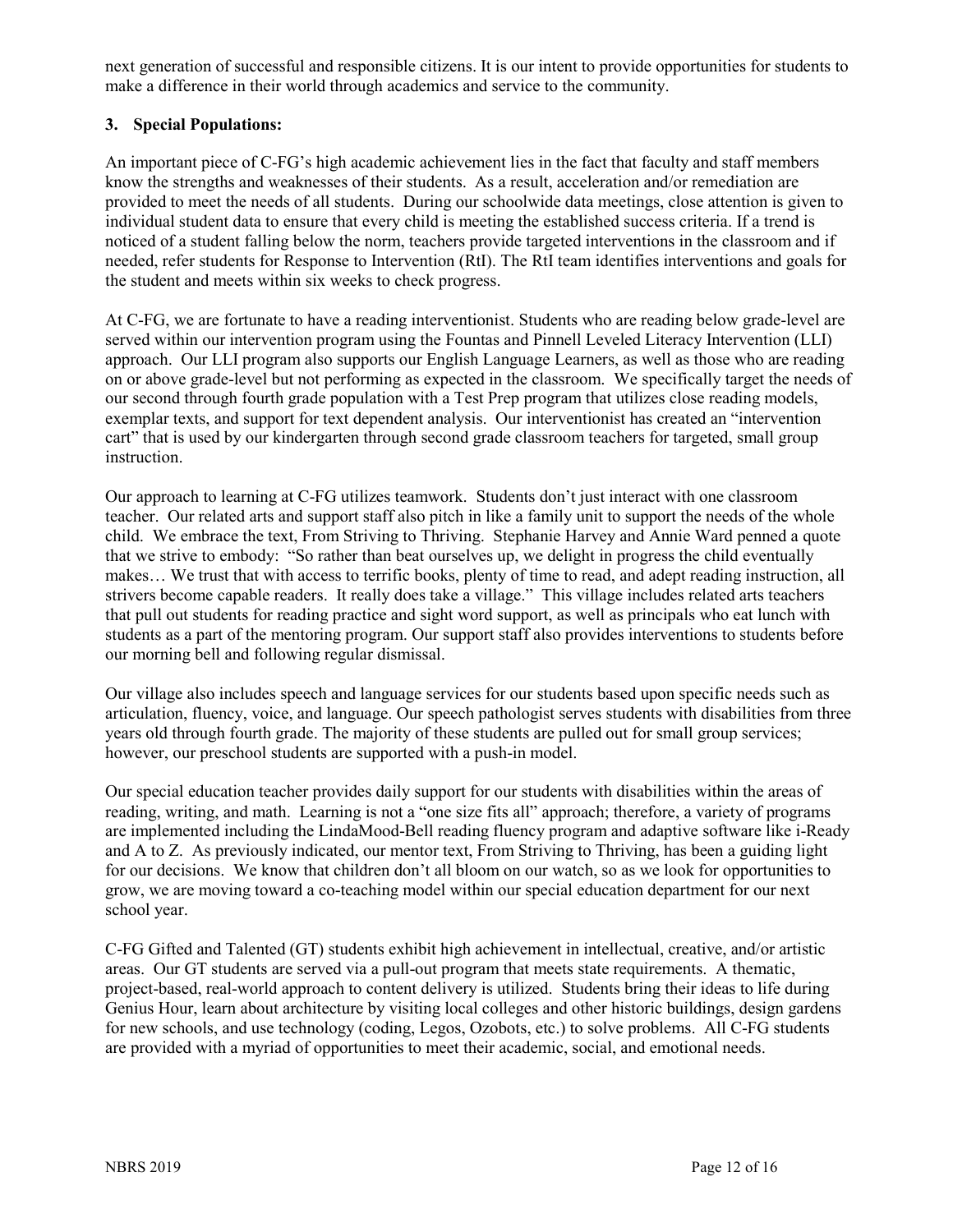next generation of successful and responsible citizens. It is our intent to provide opportunities for students to make a difference in their world through academics and service to the community.

# **3. Special Populations:**

An important piece of C-FG's high academic achievement lies in the fact that faculty and staff members know the strengths and weaknesses of their students. As a result, acceleration and/or remediation are provided to meet the needs of all students. During our schoolwide data meetings, close attention is given to individual student data to ensure that every child is meeting the established success criteria. If a trend is noticed of a student falling below the norm, teachers provide targeted interventions in the classroom and if needed, refer students for Response to Intervention (RtI). The RtI team identifies interventions and goals for the student and meets within six weeks to check progress.

At C-FG, we are fortunate to have a reading interventionist. Students who are reading below grade-level are served within our intervention program using the Fountas and Pinnell Leveled Literacy Intervention (LLI) approach. Our LLI program also supports our English Language Learners, as well as those who are reading on or above grade-level but not performing as expected in the classroom. We specifically target the needs of our second through fourth grade population with a Test Prep program that utilizes close reading models, exemplar texts, and support for text dependent analysis. Our interventionist has created an "intervention cart" that is used by our kindergarten through second grade classroom teachers for targeted, small group instruction.

Our approach to learning at C-FG utilizes teamwork. Students don't just interact with one classroom teacher. Our related arts and support staff also pitch in like a family unit to support the needs of the whole child. We embrace the text, From Striving to Thriving. Stephanie Harvey and Annie Ward penned a quote that we strive to embody: "So rather than beat ourselves up, we delight in progress the child eventually makes… We trust that with access to terrific books, plenty of time to read, and adept reading instruction, all strivers become capable readers. It really does take a village." This village includes related arts teachers that pull out students for reading practice and sight word support, as well as principals who eat lunch with students as a part of the mentoring program. Our support staff also provides interventions to students before our morning bell and following regular dismissal.

Our village also includes speech and language services for our students based upon specific needs such as articulation, fluency, voice, and language. Our speech pathologist serves students with disabilities from three years old through fourth grade. The majority of these students are pulled out for small group services; however, our preschool students are supported with a push-in model.

Our special education teacher provides daily support for our students with disabilities within the areas of reading, writing, and math. Learning is not a "one size fits all" approach; therefore, a variety of programs are implemented including the LindaMood-Bell reading fluency program and adaptive software like i-Ready and A to Z. As previously indicated, our mentor text, From Striving to Thriving, has been a guiding light for our decisions. We know that children don't all bloom on our watch, so as we look for opportunities to grow, we are moving toward a co-teaching model within our special education department for our next school year.

C-FG Gifted and Talented (GT) students exhibit high achievement in intellectual, creative, and/or artistic areas. Our GT students are served via a pull-out program that meets state requirements. A thematic, project-based, real-world approach to content delivery is utilized. Students bring their ideas to life during Genius Hour, learn about architecture by visiting local colleges and other historic buildings, design gardens for new schools, and use technology (coding, Legos, Ozobots, etc.) to solve problems. All C-FG students are provided with a myriad of opportunities to meet their academic, social, and emotional needs.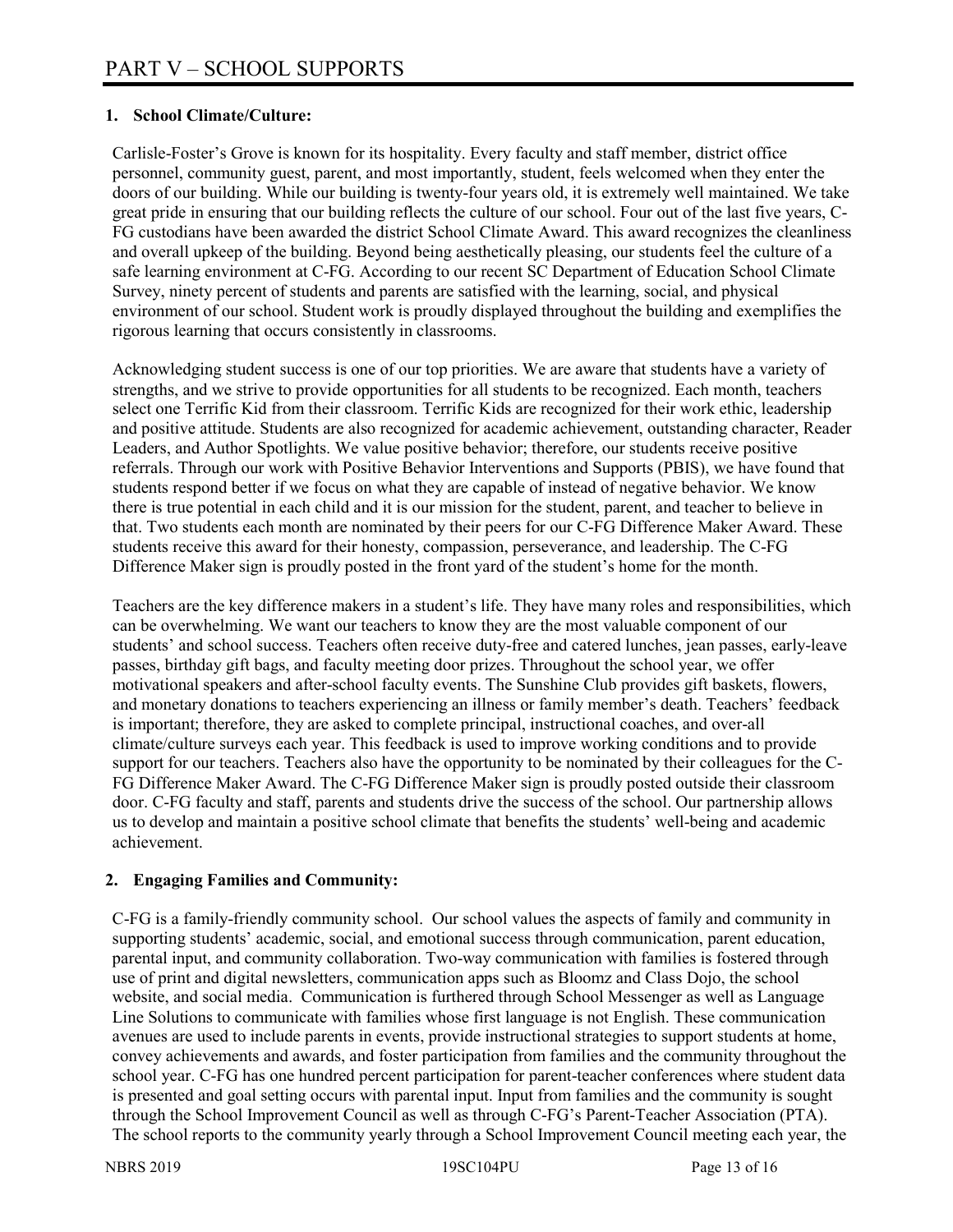# **1. School Climate/Culture:**

Carlisle-Foster's Grove is known for its hospitality. Every faculty and staff member, district office personnel, community guest, parent, and most importantly, student, feels welcomed when they enter the doors of our building. While our building is twenty-four years old, it is extremely well maintained. We take great pride in ensuring that our building reflects the culture of our school. Four out of the last five years, C-FG custodians have been awarded the district School Climate Award. This award recognizes the cleanliness and overall upkeep of the building. Beyond being aesthetically pleasing, our students feel the culture of a safe learning environment at C-FG. According to our recent SC Department of Education School Climate Survey, ninety percent of students and parents are satisfied with the learning, social, and physical environment of our school. Student work is proudly displayed throughout the building and exemplifies the rigorous learning that occurs consistently in classrooms.

Acknowledging student success is one of our top priorities. We are aware that students have a variety of strengths, and we strive to provide opportunities for all students to be recognized. Each month, teachers select one Terrific Kid from their classroom. Terrific Kids are recognized for their work ethic, leadership and positive attitude. Students are also recognized for academic achievement, outstanding character, Reader Leaders, and Author Spotlights. We value positive behavior; therefore, our students receive positive referrals. Through our work with Positive Behavior Interventions and Supports (PBIS), we have found that students respond better if we focus on what they are capable of instead of negative behavior. We know there is true potential in each child and it is our mission for the student, parent, and teacher to believe in that. Two students each month are nominated by their peers for our C-FG Difference Maker Award. These students receive this award for their honesty, compassion, perseverance, and leadership. The C-FG Difference Maker sign is proudly posted in the front yard of the student's home for the month.

Teachers are the key difference makers in a student's life. They have many roles and responsibilities, which can be overwhelming. We want our teachers to know they are the most valuable component of our students' and school success. Teachers often receive duty-free and catered lunches, jean passes, early-leave passes, birthday gift bags, and faculty meeting door prizes. Throughout the school year, we offer motivational speakers and after-school faculty events. The Sunshine Club provides gift baskets, flowers, and monetary donations to teachers experiencing an illness or family member's death. Teachers' feedback is important; therefore, they are asked to complete principal, instructional coaches, and over-all climate/culture surveys each year. This feedback is used to improve working conditions and to provide support for our teachers. Teachers also have the opportunity to be nominated by their colleagues for the C-FG Difference Maker Award. The C-FG Difference Maker sign is proudly posted outside their classroom door. C-FG faculty and staff, parents and students drive the success of the school. Our partnership allows us to develop and maintain a positive school climate that benefits the students' well-being and academic achievement.

# **2. Engaging Families and Community:**

C-FG is a family-friendly community school. Our school values the aspects of family and community in supporting students' academic, social, and emotional success through communication, parent education, parental input, and community collaboration. Two-way communication with families is fostered through use of print and digital newsletters, communication apps such as Bloomz and Class Dojo, the school website, and social media. Communication is furthered through School Messenger as well as Language Line Solutions to communicate with families whose first language is not English. These communication avenues are used to include parents in events, provide instructional strategies to support students at home, convey achievements and awards, and foster participation from families and the community throughout the school year. C-FG has one hundred percent participation for parent-teacher conferences where student data is presented and goal setting occurs with parental input. Input from families and the community is sought through the School Improvement Council as well as through C-FG's Parent-Teacher Association (PTA). The school reports to the community yearly through a School Improvement Council meeting each year, the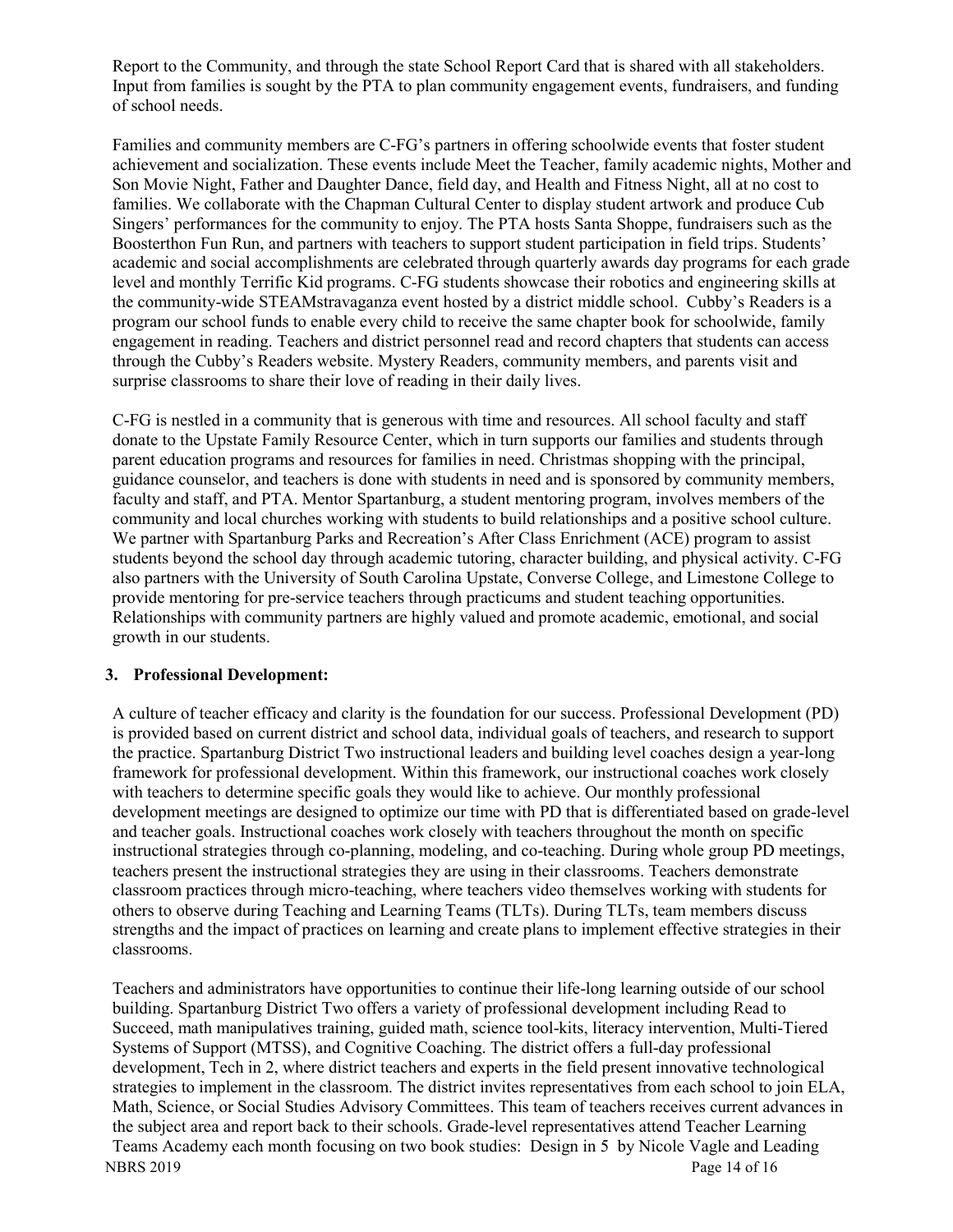Report to the Community, and through the state School Report Card that is shared with all stakeholders. Input from families is sought by the PTA to plan community engagement events, fundraisers, and funding of school needs.

Families and community members are C-FG's partners in offering schoolwide events that foster student achievement and socialization. These events include Meet the Teacher, family academic nights, Mother and Son Movie Night, Father and Daughter Dance, field day, and Health and Fitness Night, all at no cost to families. We collaborate with the Chapman Cultural Center to display student artwork and produce Cub Singers' performances for the community to enjoy. The PTA hosts Santa Shoppe, fundraisers such as the Boosterthon Fun Run, and partners with teachers to support student participation in field trips. Students' academic and social accomplishments are celebrated through quarterly awards day programs for each grade level and monthly Terrific Kid programs. C-FG students showcase their robotics and engineering skills at the community-wide STEAMstravaganza event hosted by a district middle school. Cubby's Readers is a program our school funds to enable every child to receive the same chapter book for schoolwide, family engagement in reading. Teachers and district personnel read and record chapters that students can access through the Cubby's Readers website. Mystery Readers, community members, and parents visit and surprise classrooms to share their love of reading in their daily lives.

C-FG is nestled in a community that is generous with time and resources. All school faculty and staff donate to the Upstate Family Resource Center, which in turn supports our families and students through parent education programs and resources for families in need. Christmas shopping with the principal, guidance counselor, and teachers is done with students in need and is sponsored by community members, faculty and staff, and PTA. Mentor Spartanburg, a student mentoring program, involves members of the community and local churches working with students to build relationships and a positive school culture. We partner with Spartanburg Parks and Recreation's After Class Enrichment (ACE) program to assist students beyond the school day through academic tutoring, character building, and physical activity. C-FG also partners with the University of South Carolina Upstate, Converse College, and Limestone College to provide mentoring for pre-service teachers through practicums and student teaching opportunities. Relationships with community partners are highly valued and promote academic, emotional, and social growth in our students.

#### **3. Professional Development:**

A culture of teacher efficacy and clarity is the foundation for our success. Professional Development (PD) is provided based on current district and school data, individual goals of teachers, and research to support the practice. Spartanburg District Two instructional leaders and building level coaches design a year-long framework for professional development. Within this framework, our instructional coaches work closely with teachers to determine specific goals they would like to achieve. Our monthly professional development meetings are designed to optimize our time with PD that is differentiated based on grade-level and teacher goals. Instructional coaches work closely with teachers throughout the month on specific instructional strategies through co-planning, modeling, and co-teaching. During whole group PD meetings, teachers present the instructional strategies they are using in their classrooms. Teachers demonstrate classroom practices through micro-teaching, where teachers video themselves working with students for others to observe during Teaching and Learning Teams (TLTs). During TLTs, team members discuss strengths and the impact of practices on learning and create plans to implement effective strategies in their classrooms.

NBRS 2019 Page 14 of 16 Teachers and administrators have opportunities to continue their life-long learning outside of our school building. Spartanburg District Two offers a variety of professional development including Read to Succeed, math manipulatives training, guided math, science tool-kits, literacy intervention, Multi-Tiered Systems of Support (MTSS), and Cognitive Coaching. The district offers a full-day professional development, Tech in 2, where district teachers and experts in the field present innovative technological strategies to implement in the classroom. The district invites representatives from each school to join ELA, Math, Science, or Social Studies Advisory Committees. This team of teachers receives current advances in the subject area and report back to their schools. Grade-level representatives attend Teacher Learning Teams Academy each month focusing on two book studies: Design in 5 by Nicole Vagle and Leading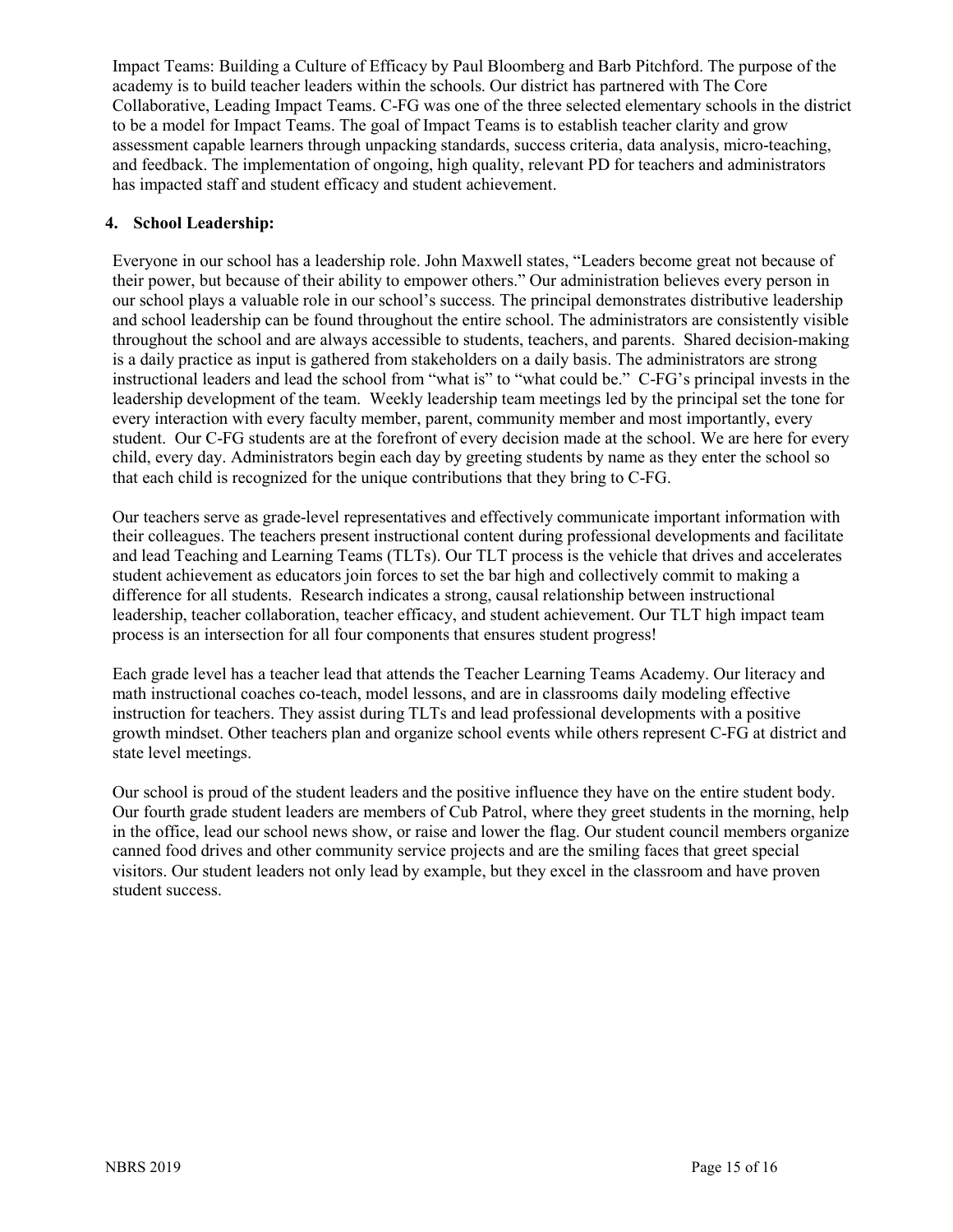Impact Teams: Building a Culture of Efficacy by Paul Bloomberg and Barb Pitchford. The purpose of the academy is to build teacher leaders within the schools. Our district has partnered with The Core Collaborative, Leading Impact Teams. C-FG was one of the three selected elementary schools in the district to be a model for Impact Teams. The goal of Impact Teams is to establish teacher clarity and grow assessment capable learners through unpacking standards, success criteria, data analysis, micro-teaching, and feedback. The implementation of ongoing, high quality, relevant PD for teachers and administrators has impacted staff and student efficacy and student achievement.

# **4. School Leadership:**

Everyone in our school has a leadership role. John Maxwell states, "Leaders become great not because of their power, but because of their ability to empower others." Our administration believes every person in our school plays a valuable role in our school's success. The principal demonstrates distributive leadership and school leadership can be found throughout the entire school. The administrators are consistently visible throughout the school and are always accessible to students, teachers, and parents. Shared decision-making is a daily practice as input is gathered from stakeholders on a daily basis. The administrators are strong instructional leaders and lead the school from "what is" to "what could be." C-FG's principal invests in the leadership development of the team. Weekly leadership team meetings led by the principal set the tone for every interaction with every faculty member, parent, community member and most importantly, every student. Our C-FG students are at the forefront of every decision made at the school. We are here for every child, every day. Administrators begin each day by greeting students by name as they enter the school so that each child is recognized for the unique contributions that they bring to C-FG.

Our teachers serve as grade-level representatives and effectively communicate important information with their colleagues. The teachers present instructional content during professional developments and facilitate and lead Teaching and Learning Teams (TLTs). Our TLT process is the vehicle that drives and accelerates student achievement as educators join forces to set the bar high and collectively commit to making a difference for all students. Research indicates a strong, causal relationship between instructional leadership, teacher collaboration, teacher efficacy, and student achievement. Our TLT high impact team process is an intersection for all four components that ensures student progress!

Each grade level has a teacher lead that attends the Teacher Learning Teams Academy. Our literacy and math instructional coaches co-teach, model lessons, and are in classrooms daily modeling effective instruction for teachers. They assist during TLTs and lead professional developments with a positive growth mindset. Other teachers plan and organize school events while others represent C-FG at district and state level meetings.

Our school is proud of the student leaders and the positive influence they have on the entire student body. Our fourth grade student leaders are members of Cub Patrol, where they greet students in the morning, help in the office, lead our school news show, or raise and lower the flag. Our student council members organize canned food drives and other community service projects and are the smiling faces that greet special visitors. Our student leaders not only lead by example, but they excel in the classroom and have proven student success.